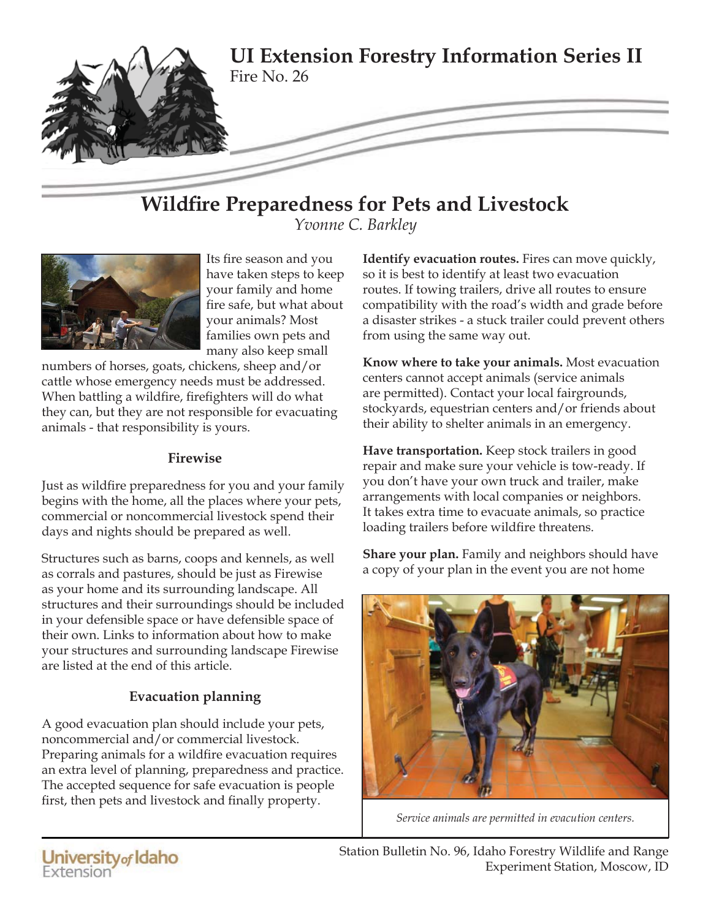

# **Wildfire Preparedness for Pets and Livestock**

*Yvonne C. Barkley*



Its fire season and you have taken steps to keep your family and home fire safe, but what about your animals? Most families own pets and many also keep small

numbers of horses, goats, chickens, sheep and/or cattle whose emergency needs must be addressed. When battling a wildfire, firefighters will do what they can, but they are not responsible for evacuating animals - that responsibility is yours.

#### **Firewise**

Just as wildfire preparedness for you and your family begins with the home, all the places where your pets, commercial or noncommercial livestock spend their days and nights should be prepared as well.

Structures such as barns, coops and kennels, as well as corrals and pastures, should be just as Firewise as your home and its surrounding landscape. All structures and their surroundings should be included in your defensible space or have defensible space of their own. Links to information about how to make your structures and surrounding landscape Firewise are listed at the end of this article.

# **Evacuation planning**

A good evacuation plan should include your pets, noncommercial and/or commercial livestock. Preparing animals for a wildfire evacuation requires an extra level of planning, preparedness and practice. The accepted sequence for safe evacuation is people first, then pets and livestock and finally property.

**Identify evacuation routes.** Fires can move quickly, so it is best to identify at least two evacuation routes. If towing trailers, drive all routes to ensure compatibility with the road's width and grade before a disaster strikes - a stuck trailer could prevent others from using the same way out.

**Know where to take your animals.** Most evacuation centers cannot accept animals (service animals are permitted). Contact your local fairgrounds, stockyards, equestrian centers and/or friends about their ability to shelter animals in an emergency.

**Have transportation.** Keep stock trailers in good repair and make sure your vehicle is tow-ready. If you don't have your own truck and trailer, make arrangements with local companies or neighbors. It takes extra time to evacuate animals, so practice loading trailers before wildfire threatens.

**Share your plan.** Family and neighbors should have a copy of your plan in the event you are not home



*Service animals are permitted in evacution centers.*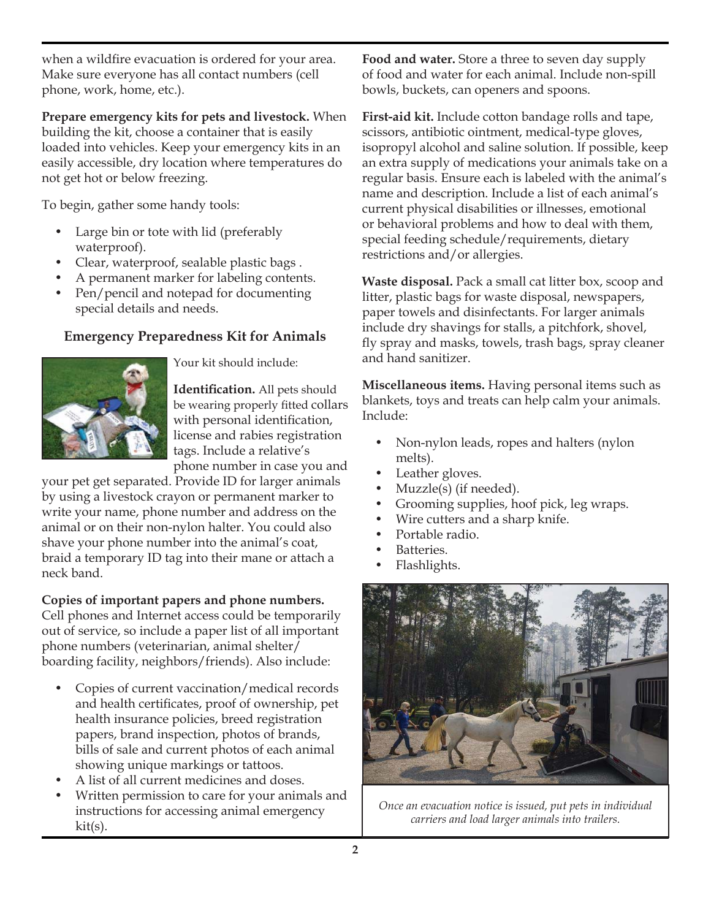when a wildfire evacuation is ordered for your area. Make sure everyone has all contact numbers (cell phone, work, home, etc.).

**Prepare emergency kits for pets and livestock.** When building the kit, choose a container that is easily loaded into vehicles. Keep your emergency kits in an easily accessible, dry location where temperatures do not get hot or below freezing.

To begin, gather some handy tools:

- Large bin or tote with lid (preferably waterproof).
- Clear, waterproof, sealable plastic bags .
- A permanent marker for labeling contents.
- Pen/pencil and notepad for documenting special details and needs.

### **Emergency Preparedness Kit for Animals**



Your kit should include:

**Identification.** All pets should be wearing properly fitted collars with personal identification, license and rabies registration tags. Include a relative's phone number in case you and

your pet get separated. Provide ID for larger animals by using a livestock crayon or permanent marker to write your name, phone number and address on the animal or on their non-nylon halter. You could also shave your phone number into the animal's coat, braid a temporary ID tag into their mane or attach a neck band.

#### **Copies of important papers and phone numbers.**

Cell phones and Internet access could be temporarily out of service, so include a paper list of all important phone numbers (veterinarian, animal shelter/ boarding facility, neighbors/friends). Also include:

- Copies of current vaccination/medical records and health certificates, proof of ownership, pet health insurance policies, breed registration papers, brand inspection, photos of brands, bills of sale and current photos of each animal showing unique markings or tattoos.
- A list of all current medicines and doses.
- Written permission to care for your animals and instructions for accessing animal emergency kit(s).

**Food and water.** Store a three to seven day supply of food and water for each animal. Include non-spill bowls, buckets, can openers and spoons.

**First-aid kit.** Include cotton bandage rolls and tape, scissors, antibiotic ointment, medical-type gloves, isopropyl alcohol and saline solution. If possible, keep an extra supply of medications your animals take on a regular basis. Ensure each is labeled with the animal's name and description. Include a list of each animal's current physical disabilities or illnesses, emotional or behavioral problems and how to deal with them, special feeding schedule/requirements, dietary restrictions and/or allergies.

**Waste disposal.** Pack a small cat litter box, scoop and litter, plastic bags for waste disposal, newspapers, paper towels and disinfectants. For larger animals include dry shavings for stalls, a pitchfork, shovel, fly spray and masks, towels, trash bags, spray cleaner and hand sanitizer.

**Miscellaneous items.** Having personal items such as blankets, toys and treats can help calm your animals. Include:

- Non-nylon leads, ropes and halters (nylon melts).
- Leather gloves.
- Muzzle(s) (if needed).
- Grooming supplies, hoof pick, leg wraps.
- Wire cutters and a sharp knife.
- Portable radio.
- Batteries.
- Flashlights.



*Once an evacuation notice is issued, put pets in individual carriers and load larger animals into trailers.*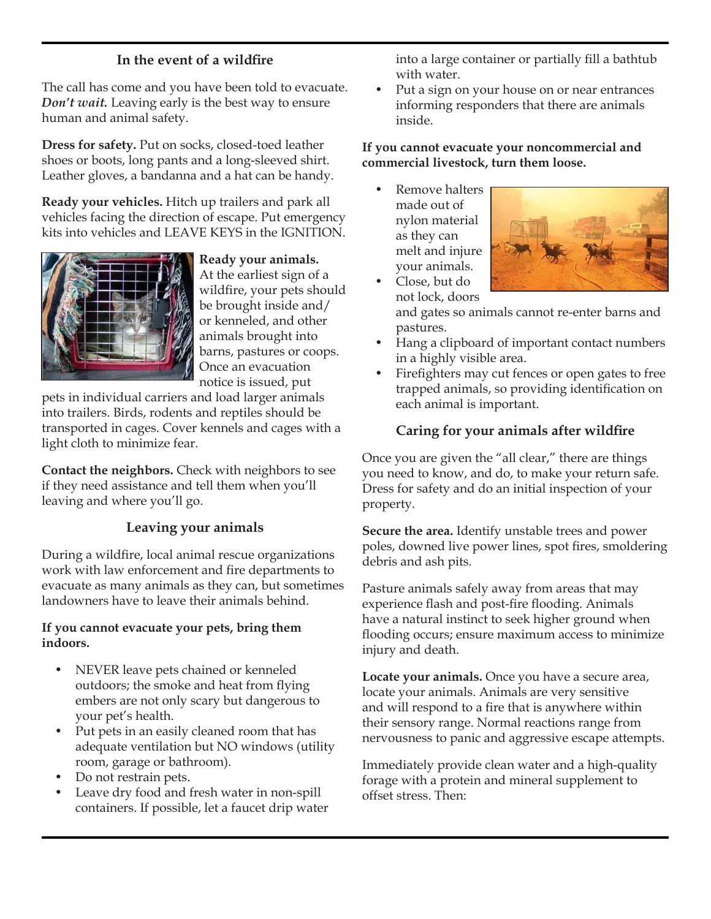## In the event of a wildfire

The call has come and you have been told to evacuate. *Don't wait.* Leaving early is the best way to ensure human and animal safety.

**Dress for safety.** Put on socks, closed-toed leather shoes or boots, long pants and a long-sleeved shirt. Leather gloves, a bandanna and a hat can be handy.

**Ready your vehicles.** Hitch up trailers and park all vehicles facing the direction of escape. Put emergency kits into vehicles and LEAVE KEYS in the IGNITION.



**Ready your animals.** At the earliest sign of a wildfire, your pets should be brought inside and/ or kenneled, and other animals brought into barns, pastures or coops. Once an evacuation notice is issued, put

pets in individual carriers and load larger animals into trailers. Birds, rodents and reptiles should be transported in cages. Cover kennels and cages with a light cloth to minimize fear.

**Contact the neighbors.** Check with neighbors to see if they need assistance and tell them when you'll leaving and where you'll go.

# **Leaving your animals**

During a wildfire, local animal rescue organizations work with law enforcement and fire departments to evacuate as many animals as they can, but sometimes landowners have to leave their animals behind.

#### **If you cannot evacuate your pets, bring them indoors.**

- NEVER leave pets chained or kenneled outdoors; the smoke and heat from flying embers are not only scary but dangerous to your pet's health.
- Put pets in an easily cleaned room that has adequate ventilation but NO windows (utility room, garage or bathroom).
- Do not restrain pets.
- Leave dry food and fresh water in non-spill containers. If possible, let a faucet drip water

into a large container or partially fill a bathtub with water.

Put a sign on your house on or near entrances informing responders that there are animals inside.

#### **If you cannot evacuate your noncommercial and commercial livestock, turn them loose.**

• Remove halters made out of nylon material as they can melt and injure your animals.



• Close, but do not lock, doors

and gates so animals cannot re-enter barns and pastures.

- Hang a clipboard of important contact numbers in a highly visible area.
- Firefighters may cut fences or open gates to free trapped animals, so providing identification on each animal is important.

### **Caring for your animals after wildfire**

Once you are given the "all clear," there are things you need to know, and do, to make your return safe. Dress for safety and do an initial inspection of your property.

**Secure the area.** Identify unstable trees and power poles, downed live power lines, spot fires, smoldering debris and ash pits.

Pasture animals safely away from areas that may experience flash and post-fire flooding. Animals have a natural instinct to seek higher ground when flooding occurs; ensure maximum access to minimize injury and death.

**Locate your animals.** Once you have a secure area, locate your animals. Animals are very sensitive and will respond to a fire that is anywhere within their sensory range. Normal reactions range from nervousness to panic and aggressive escape attempts.

Immediately provide clean water and a high-quality forage with a protein and mineral supplement to offset stress. Then: